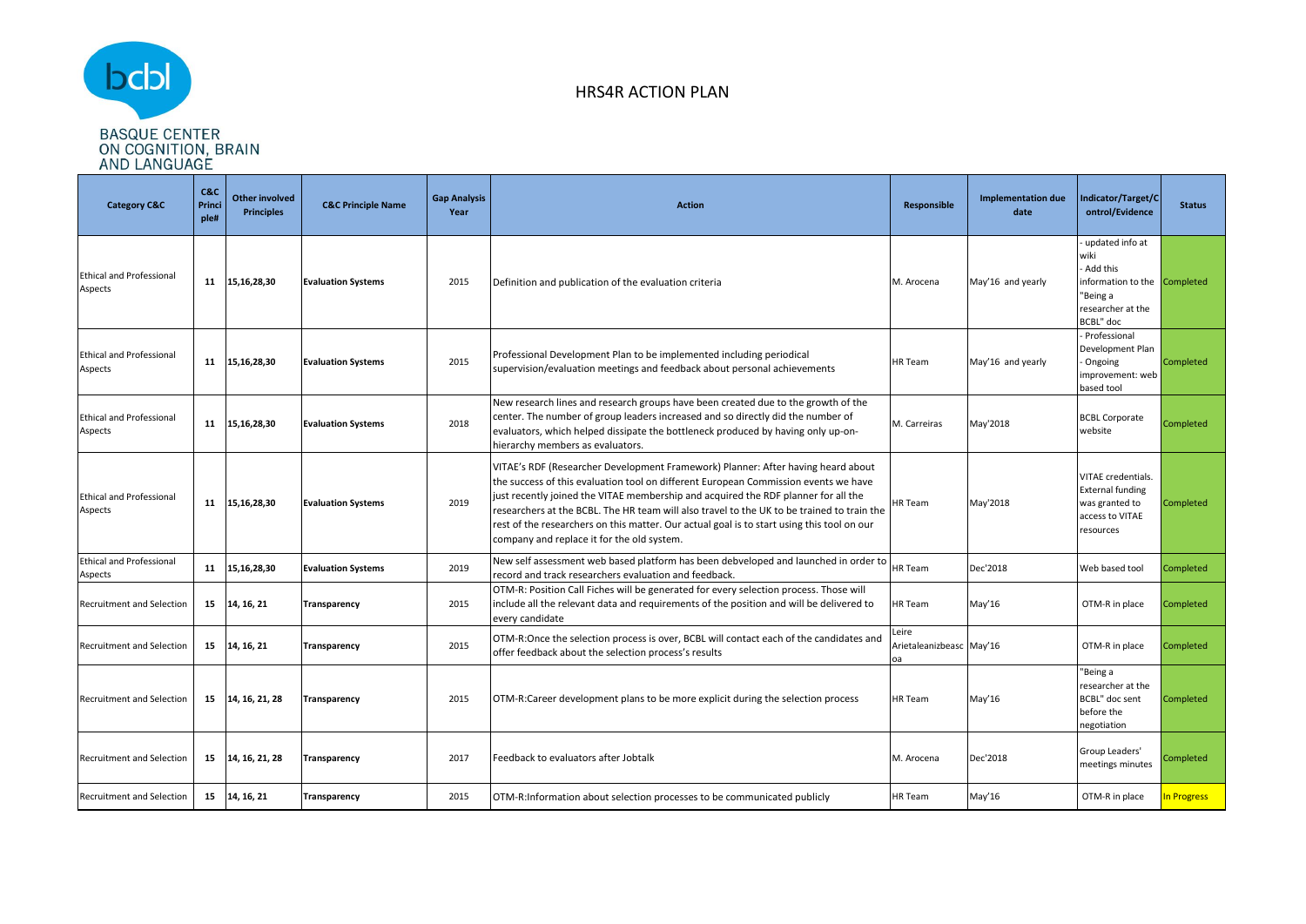

| <b>Category C&amp;C</b>                    | C&C<br>Princi<br>ple# | <b>Other involved</b><br><b>Principles</b> | <b>C&amp;C Principle Name</b> | <b>Gap Analysis</b><br>Year | <b>Action</b>                                                                                                                                                                                                                                                                                                                                                                                                                                                                                           | Responsible                             | <b>Implementation due</b><br>date | ndicator/Target/C<br>ontrol/Evidence                                                                              | <b>Status</b>    |
|--------------------------------------------|-----------------------|--------------------------------------------|-------------------------------|-----------------------------|---------------------------------------------------------------------------------------------------------------------------------------------------------------------------------------------------------------------------------------------------------------------------------------------------------------------------------------------------------------------------------------------------------------------------------------------------------------------------------------------------------|-----------------------------------------|-----------------------------------|-------------------------------------------------------------------------------------------------------------------|------------------|
| <b>Ethical and Professional</b><br>Aspects | 11                    | 15,16,28,30                                | <b>Evaluation Systems</b>     | 2015                        | Definition and publication of the evaluation criteria                                                                                                                                                                                                                                                                                                                                                                                                                                                   | M. Arocena                              | May'16 and yearly                 | updated info at<br>wiki<br>Add this<br>information to the Completed<br>'Being a<br>researcher at the<br>BCBL" doc |                  |
| <b>Ethical and Professional</b><br>Aspects | 11                    | 15,16,28,30                                | <b>Evaluation Systems</b>     | 2015                        | Professional Development Plan to be implemented including periodical<br>supervision/evaluation meetings and feedback about personal achievements                                                                                                                                                                                                                                                                                                                                                        | HR Team                                 | May'16 and yearly                 | Professional<br>Development Plan<br>Ongoing<br>improvement: web<br>pased tool                                     | <b>Completed</b> |
| <b>Ethical and Professional</b><br>Aspects | 11                    | 15,16,28,30                                | <b>Evaluation Systems</b>     | 2018                        | New research lines and research groups have been created due to the growth of the<br>center. The number of group leaders increased and so directly did the number of<br>evaluators, which helped dissipate the bottleneck produced by having only up-on-<br>hierarchy members as evaluators.                                                                                                                                                                                                            | M. Carreiras                            | May'2018                          | <b>BCBL Corporate</b><br>website                                                                                  | Completed        |
| <b>Ethical and Professional</b><br>Aspects | 11                    | 15,16,28,30                                | <b>Evaluation Systems</b>     | 2019                        | VITAE's RDF (Researcher Development Framework) Planner: After having heard about<br>the success of this evaluation tool on different European Commission events we have<br>just recently joined the VITAE membership and acquired the RDF planner for all the<br>researchers at the BCBL. The HR team will also travel to the UK to be trained to train the<br>rest of the researchers on this matter. Our actual goal is to start using this tool on our<br>company and replace it for the old system. | <b>HR Team</b>                          | May'2018                          | VITAE credentials.<br><b>External funding</b><br>was granted to<br>access to VITAE<br>resources                   | Completed        |
| <b>Ethical and Professional</b><br>Aspects | 11                    | 15,16,28,30                                | <b>Evaluation Systems</b>     | 2019                        | New self assessment web based platform has been debveloped and launched in order to<br>record and track researchers evaluation and feedback.                                                                                                                                                                                                                                                                                                                                                            | <b>HR</b> Team                          | Dec'2018                          | Web based tool                                                                                                    | Completed        |
| <b>Recruitment and Selection</b>           |                       | 15 14, 16, 21                              | Transparency                  | 2015                        | OTM-R: Position Call Fiches will be generated for every selection process. Those will<br>include all the relevant data and requirements of the position and will be delivered to<br>every candidate                                                                                                                                                                                                                                                                                                     | HR Team                                 | May'16                            | OTM-R in place                                                                                                    | Completed        |
| <b>Recruitment and Selection</b>           | 15                    | 14, 16, 21                                 | <b>Transparency</b>           | 2015                        | OTM-R:Once the selection process is over, BCBL will contact each of the candidates and<br>offer feedback about the selection process's results                                                                                                                                                                                                                                                                                                                                                          | Leire<br>Arietaleanizbeasc May'16<br>oa |                                   | OTM-R in place                                                                                                    | Completed        |
| Recruitment and Selection                  |                       | 15 14, 16, 21, 28                          | Transparency                  | 2015                        | OTM-R:Career development plans to be more explicit during the selection process                                                                                                                                                                                                                                                                                                                                                                                                                         | <b>HR</b> Team                          | May'16                            | 'Being a<br>esearcher at the<br><b>BCBL"</b> doc sent<br>before the<br>egotiation                                 | Completed        |
| Recruitment and Selection                  |                       | 15 14, 16, 21, 28                          | Transparency                  | 2017                        | Feedback to evaluators after Jobtalk                                                                                                                                                                                                                                                                                                                                                                                                                                                                    | M. Arocena                              | Dec'2018                          | Group Leaders'<br>meetings minutes                                                                                | Completed        |
| Recruitment and Selection                  | 15                    | 14, 16, 21                                 | Transparency                  | 2015                        | OTM-R:Information about selection processes to be communicated publicly                                                                                                                                                                                                                                                                                                                                                                                                                                 | HR Team                                 | May'16                            | OTM-R in place                                                                                                    | In Progress      |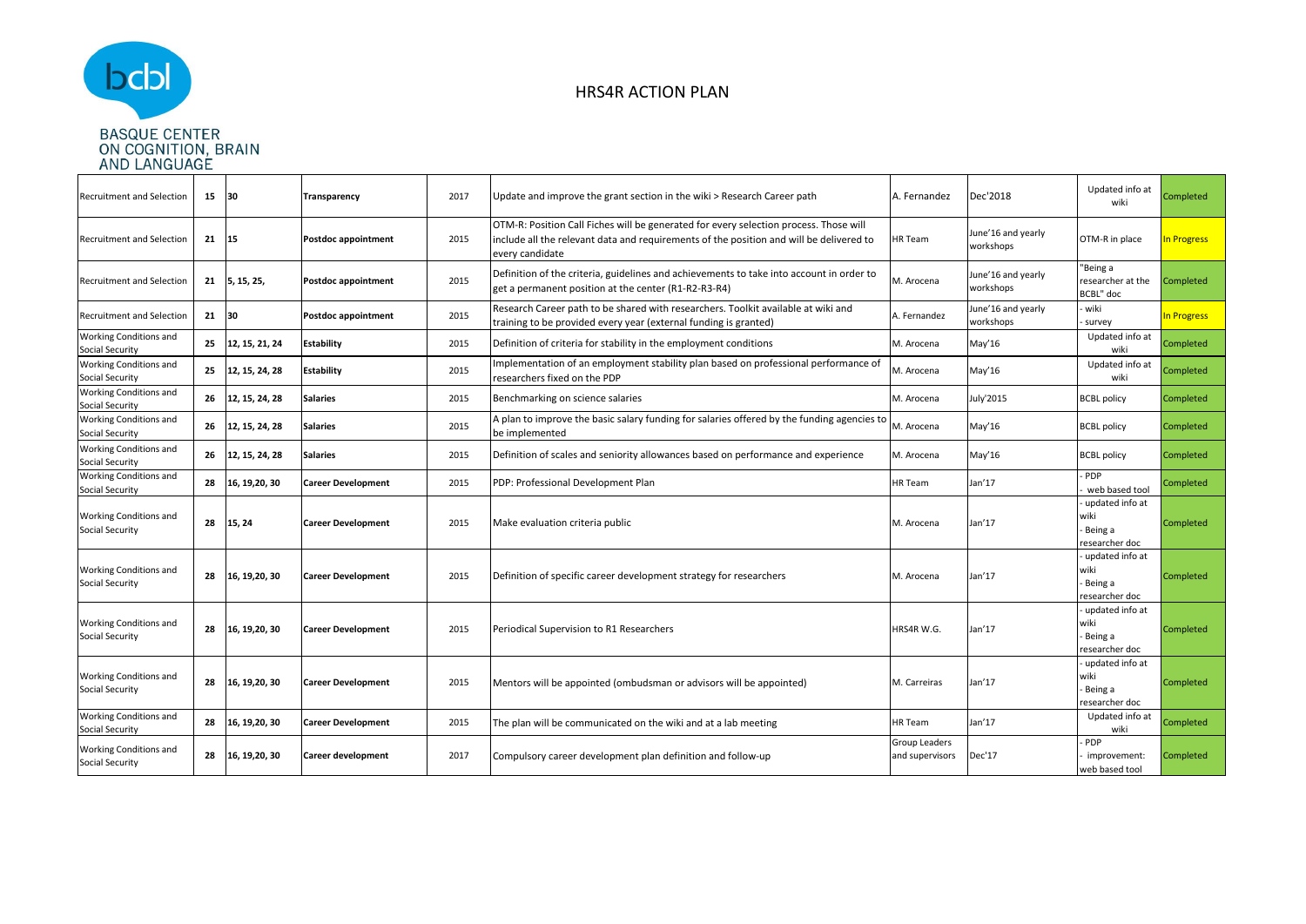

| <b>Recruitment and Selection</b>                        | 15    | 30                | Transparency               | 2017 | Update and improve the grant section in the wiki > Research Career path                                                                                                                             | A. Fernandez                     | Dec'2018                        | Updated info at<br>wiki                              | Completed   |
|---------------------------------------------------------|-------|-------------------|----------------------------|------|-----------------------------------------------------------------------------------------------------------------------------------------------------------------------------------------------------|----------------------------------|---------------------------------|------------------------------------------------------|-------------|
| Recruitment and Selection                               | 21    | 15                | Postdoc appointment        | 2015 | OTM-R: Position Call Fiches will be generated for every selection process. Those will<br>include all the relevant data and requirements of the position and will be delivered to<br>every candidate | HR Team                          | June'16 and yearly<br>workshops | OTM-R in place                                       | In Progress |
| Recruitment and Selection                               |       | 21 5, 15, 25,     | <b>Postdoc appointment</b> | 2015 | Definition of the criteria, guidelines and achievements to take into account in order to<br>get a permanent position at the center (R1-R2-R3-R4)                                                    | M. Arocena                       | June'16 and yearly<br>workshops | 'Being a<br>researcher at the<br>BCBL" doc           | Completed   |
| <b>Recruitment and Selection</b>                        | 21 30 |                   | <b>Postdoc appointment</b> | 2015 | Research Career path to be shared with researchers. Toolkit available at wiki and<br>training to be provided every year (external funding is granted)                                               | A. Fernandez                     | June'16 and yearly<br>workshops | wiki<br>survey                                       | In Progress |
| Working Conditions and<br><b>Social Security</b>        | 25    | 12, 15, 21, 24    | <b>Estability</b>          | 2015 | Definition of criteria for stability in the employment conditions                                                                                                                                   | M. Arocena                       | May'16                          | Updated info at<br>wiki                              | Completed   |
| Working Conditions and<br>Social Security               | 25    | 12, 15, 24, 28    | <b>Estability</b>          | 2015 | Implementation of an employment stability plan based on professional performance of<br>researchers fixed on the PDP                                                                                 | M. Arocena                       | May'16                          | Updated info at<br>wiki                              | Completed   |
| Working Conditions and<br><b>Social Security</b>        |       | 26 12, 15, 24, 28 | <b>Salaries</b>            | 2015 | Benchmarking on science salaries                                                                                                                                                                    | M. Arocena                       | July'2015                       | <b>BCBL policy</b>                                   | Completed   |
| Working Conditions and<br>Social Security               | 26    | 12, 15, 24, 28    | <b>Salaries</b>            | 2015 | A plan to improve the basic salary funding for salaries offered by the funding agencies to<br>be implemented                                                                                        | M. Arocena                       | May'16                          | <b>BCBL policy</b>                                   | Completed   |
| Working Conditions and<br>Social Security               | 26    | 12, 15, 24, 28    | <b>Salaries</b>            | 2015 | Definition of scales and seniority allowances based on performance and experience                                                                                                                   | M. Arocena                       | May'16                          | <b>BCBL</b> policy                                   | Completed   |
| <b>Working Conditions and</b><br><b>Social Security</b> | 28    | 16, 19, 20, 30    | <b>Career Development</b>  | 2015 | PDP: Professional Development Plan                                                                                                                                                                  | HR Team                          | Jan'17                          | PDP<br>web based tool                                | Completed   |
| <b>Working Conditions and</b><br><b>Social Security</b> | 28    | 15, 24            | <b>Career Development</b>  | 2015 | Make evaluation criteria public                                                                                                                                                                     | M. Arocena                       | Jan'17                          | updated info at<br>wiki<br>Being a<br>esearcher doc  | Completed   |
| Working Conditions and<br>Social Security               | 28    | 16, 19, 20, 30    | <b>Career Development</b>  | 2015 | Definition of specific career development strategy for researchers                                                                                                                                  | M. Arocena                       | Jan'17                          | updated info at<br>wiki<br>Being a<br>esearcher doc  | Completed   |
| Working Conditions and<br><b>Social Security</b>        | 28    | 16, 19, 20, 30    | <b>Career Development</b>  | 2015 | Periodical Supervision to R1 Researchers                                                                                                                                                            | HRS4R W.G.                       | Jan'17                          | updated info at<br>wiki<br>Being a<br>researcher doc | Completed   |
| Working Conditions and<br><b>Social Security</b>        |       | 28 16, 19, 20, 30 | <b>Career Development</b>  | 2015 | Mentors will be appointed (ombudsman or advisors will be appointed)                                                                                                                                 | M. Carreiras                     | Jan'17                          | updated info at<br>wiki<br>Being a<br>esearcher doc  | Completed   |
| Working Conditions and<br>Social Security               | 28    | 16, 19, 20, 30    | <b>Career Development</b>  | 2015 | The plan will be communicated on the wiki and at a lab meeting                                                                                                                                      | HR Team                          | Jan'17                          | Updated info at<br>wiki                              | Completed   |
| Working Conditions and<br><b>Social Security</b>        |       | 28 16, 19, 20, 30 | Career development         | 2017 | Compulsory career development plan definition and follow-up                                                                                                                                         | Group Leaders<br>and supervisors | Dec'17                          | PDP<br>improvement:<br>web based tool                | Completed   |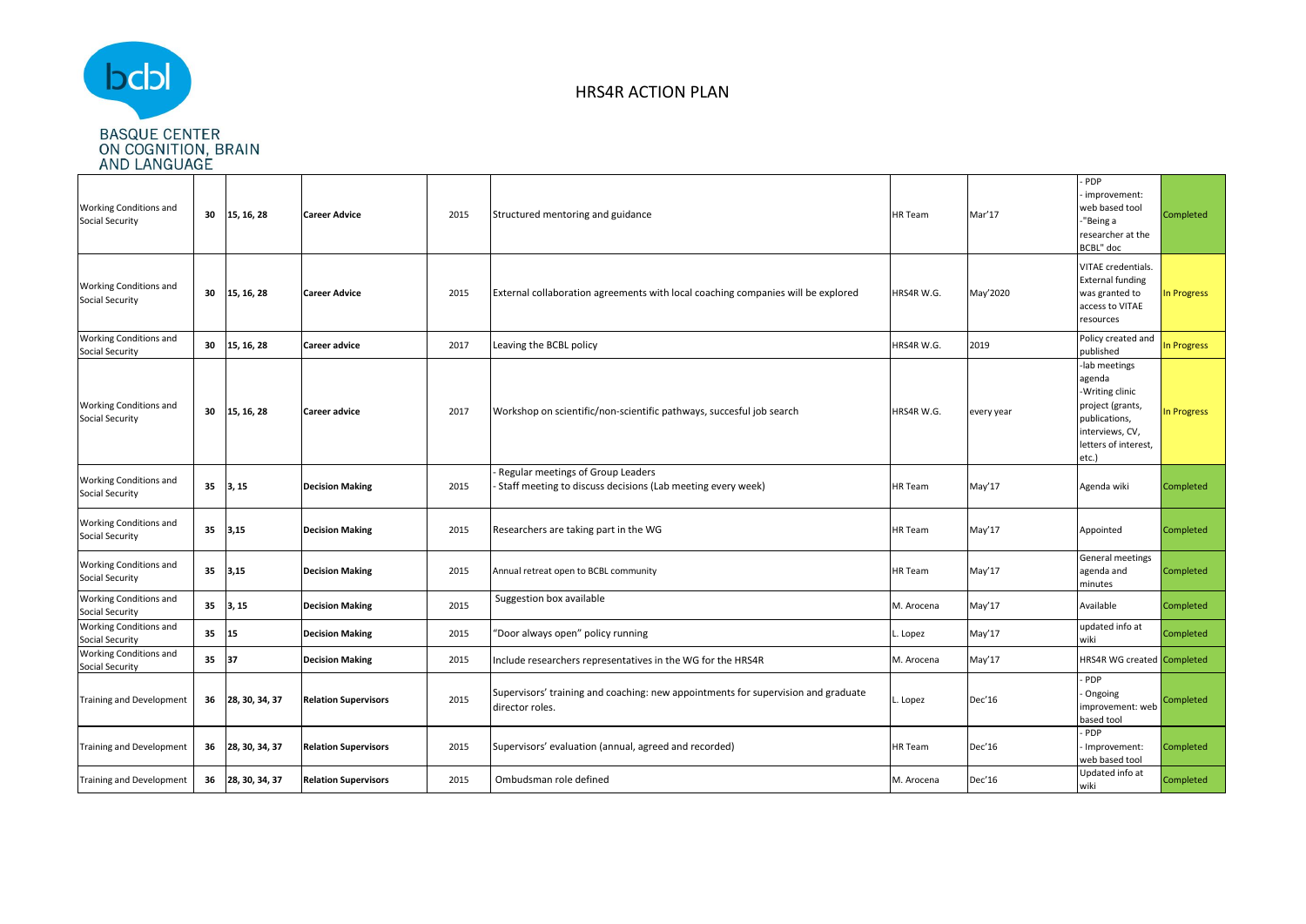

| Working Conditions and<br>Social Security        | 30 | 15, 16, 28     | <b>Career Advice</b>        | 2015 | Structured mentoring and guidance                                                                    | <b>HR</b> Team | Mar'17     | PDP<br>improvement:<br>web based tool<br>"Being a<br>researcher at the<br>BCBL" doc                                                 | Completed   |
|--------------------------------------------------|----|----------------|-----------------------------|------|------------------------------------------------------------------------------------------------------|----------------|------------|-------------------------------------------------------------------------------------------------------------------------------------|-------------|
| Working Conditions and<br>Social Security        | 30 | 15, 16, 28     | <b>Career Advice</b>        | 2015 | External collaboration agreements with local coaching companies will be explored                     | HRS4R W.G.     | May'2020   | VITAE credentials.<br><b>External funding</b><br>was granted to<br>access to VITAE<br>resources                                     | In Progress |
| Working Conditions and<br>Social Security        | 30 | 15, 16, 28     | <b>Career advice</b>        | 2017 | Leaving the BCBL policy                                                                              | HRS4R W.G.     | 2019       | Policy created and<br>published                                                                                                     | n Progress  |
| Working Conditions and<br>Social Security        | 30 | 15, 16, 28     | <b>Career advice</b>        | 2017 | Workshop on scientific/non-scientific pathways, succesful job search                                 | HRS4R W.G.     | every year | -lab meetings<br>agenda<br>-Writing clinic<br>project (grants,<br>publications,<br>interviews, CV,<br>letters of interest,<br>etc.) | n Progress  |
| Working Conditions and<br>Social Security        | 35 | 3, 15          | <b>Decision Making</b>      | 2015 | Regular meetings of Group Leaders<br>Staff meeting to discuss decisions (Lab meeting every week)     | HR Team        | May'17     | Agenda wiki                                                                                                                         | Completed   |
| Working Conditions and<br>Social Security        | 35 | 3,15           | <b>Decision Making</b>      | 2015 | Researchers are taking part in the WG                                                                | HR Team        | May'17     | Appointed                                                                                                                           | Completed   |
| Working Conditions and<br>Social Security        | 35 | 3,15           | <b>Decision Making</b>      | 2015 | Annual retreat open to BCBL community                                                                | HR Team        | May'17     | General meetings<br>agenda and<br>minutes                                                                                           | Completed   |
| Working Conditions and<br>Social Security        | 35 | 3, 15          | <b>Decision Making</b>      | 2015 | Suggestion box available                                                                             | M. Arocena     | May'17     | Available                                                                                                                           | Completed   |
| <b>Working Conditions and</b><br>Social Security | 35 | 15             | <b>Decision Making</b>      | 2015 | "Door always open" policy running                                                                    | Lopez          | May'17     | updated info at<br>wiki                                                                                                             | Completed   |
| <b>Working Conditions and</b><br>Social Security | 35 | 37             | <b>Decision Making</b>      | 2015 | nclude researchers representatives in the WG for the HRS4R                                           | M. Arocena     | May'17     | <b>HRS4R WG created Completed</b>                                                                                                   |             |
| <b>Training and Development</b>                  | 36 | 28, 30, 34, 37 | <b>Relation Supervisors</b> | 2015 | Supervisors' training and coaching: new appointments for supervision and graduate<br>director roles. | . Lopez        | Dec'16     | PDP<br>Ongoing<br>improvement: web<br>based tool                                                                                    | Completed   |
| <b>Training and Development</b>                  | 36 | 28, 30, 34, 37 | <b>Relation Supervisors</b> | 2015 | Supervisors' evaluation (annual, agreed and recorded)                                                | HR Team        | Dec'16     | PDP<br>- Improvement:<br>web based tool                                                                                             | Completed   |
| <b>Training and Development</b>                  | 36 | 28, 30, 34, 37 | <b>Relation Supervisors</b> | 2015 | Ombudsman role defined                                                                               | M. Arocena     | Dec'16     | Updated info at<br>wiki                                                                                                             | Completed   |